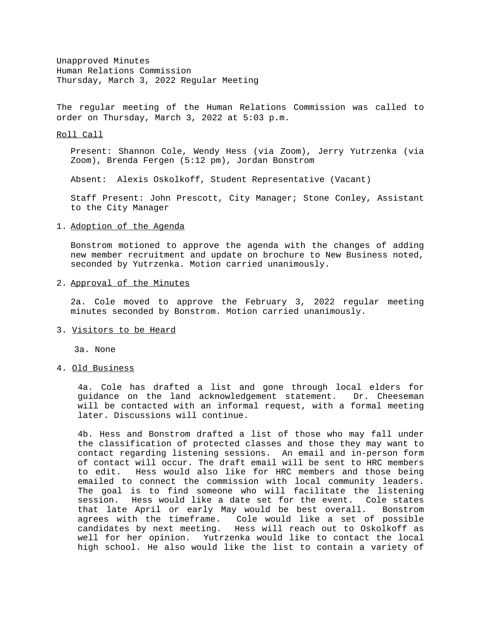Unapproved Minutes Human Relations Commission Thursday, March 3, 2022 Regular Meeting

The regular meeting of the Human Relations Commission was called to order on Thursday, March 3, 2022 at 5:03 p.m.

#### Roll Call

Present: Shannon Cole, Wendy Hess (via Zoom), Jerry Yutrzenka (via Zoom), Brenda Fergen (5:12 pm), Jordan Bonstrom

Absent: Alexis Oskolkoff, Student Representative (Vacant)

Staff Present: John Prescott, City Manager; Stone Conley, Assistant to the City Manager

#### 1. Adoption of the Agenda

Bonstrom motioned to approve the agenda with the changes of adding new member recruitment and update on brochure to New Business noted, seconded by Yutrzenka. Motion carried unanimously.

### 2. Approval of the Minutes

2a. Cole moved to approve the February 3, 2022 regular meeting minutes seconded by Bonstrom. Motion carried unanimously.

### 3. Visitors to be Heard

3a. None

# 4. Old Business

4a. Cole has drafted a list and gone through local elders for guidance on the land acknowledgement statement. Dr. Cheeseman will be contacted with an informal request, with a formal meeting later. Discussions will continue.

4b. Hess and Bonstrom drafted a list of those who may fall under the classification of protected classes and those they may want to contact regarding listening sessions. An email and in-person form of contact will occur. The draft email will be sent to HRC members to edit. Hess would also like for HRC members and those being emailed to connect the commission with local community leaders. The goal is to find someone who will facilitate the listening session. Hess would like a date set for the event. Cole states that late April or early May would be best overall. Bonstrom agrees with the timeframe. Cole would like a set of possible candidates by next meeting. Hess will reach out to Oskolkoff as well for her opinion. Yutrzenka would like to contact the local high school. He also would like the list to contain a variety of